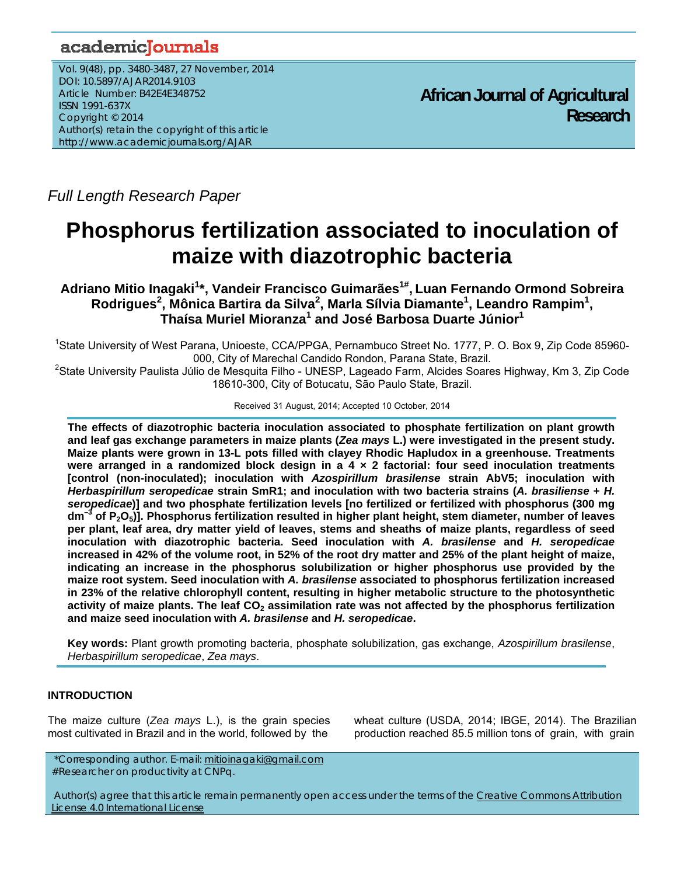# academicJournals

Vol. 9(48), pp. 3480-3487, 27 November, 2014 DOI: 10.5897/AJAR2014.9103 Article Number: B42E4E348752 ISSN 1991-637X Copyright © 2014 Author(s) retain the copyright of this article http://www.academicjournals.org/AJAR

**African Journal of Agricultural Research**

*Full Length Research Paper* 

# **Phosphorus fertilization associated to inoculation of maize with diazotrophic bacteria**

**Adriano Mitio Inagaki<sup>1</sup> \*, Vandeir Francisco Guimarães1#, Luan Fernando Ormond Sobreira Rodrigues<sup>2</sup> , Mônica Bartira da Silva<sup>2</sup> , Marla Sílvia Diamante1 , Leandro Rampim1 , Thaísa Muriel Mioranza<sup>1</sup> and José Barbosa Duarte Júnior1**

<sup>1</sup>State University of West Parana, Unioeste, CCA/PPGA, Pernambuco Street No. 1777, P. O. Box 9, Zip Code 85960-000, City of Marechal Candido Rondon, Parana State, Brazil. 2

<sup>2</sup>State University Paulista Júlio de Mesquita Filho - UNESP, Lageado Farm, Alcides Soares Highway, Km 3, Zip Code 18610-300, City of Botucatu, São Paulo State, Brazil.

#### Received 31 August, 2014; Accepted 10 October, 2014

**The effects of diazotrophic bacteria inoculation associated to phosphate fertilization on plant growth and leaf gas exchange parameters in maize plants (***Zea mays* **L.) were investigated in the present study. Maize plants were grown in 13-L pots filled with clayey Rhodic Hapludox in a greenhouse. Treatments were arranged in a randomized block design in a 4 × 2 factorial: four seed inoculation treatments [control (non-inoculated); inoculation with** *Azospirillum brasilense* **strain AbV5; inoculation with**  *Herbaspirillum seropedicae* **strain SmR1; and inoculation with two bacteria strains (***A. brasiliense* **+** *H. seropedicae***)] and two phosphate fertilization levels [no fertilized or fertilized with phosphorus (300 mg dm–3 of P2O5)]. Phosphorus fertilization resulted in higher plant height, stem diameter, number of leaves per plant, leaf area, dry matter yield of leaves, stems and sheaths of maize plants, regardless of seed inoculation with diazotrophic bacteria. Seed inoculation with** *A. brasilense* **and** *H. seropedicae*  **increased in 42% of the volume root, in 52% of the root dry matter and 25% of the plant height of maize, indicating an increase in the phosphorus solubilization or higher phosphorus use provided by the maize root system. Seed inoculation with** *A. brasilense* **associated to phosphorus fertilization increased in 23% of the relative chlorophyll content, resulting in higher metabolic structure to the photosynthetic**  activity of maize plants. The leaf CO<sub>2</sub> assimilation rate was not affected by the phosphorus fertilization **and maize seed inoculation with** *A. brasilense* **and** *H. seropedicae***.** 

**Key words:** Plant growth promoting bacteria, phosphate solubilization, gas exchange, *Azospirillum brasilense*, *Herbaspirillum seropedicae*, *Zea mays*.

# **INTRODUCTION**

The maize culture (*Zea mays* L.), is the grain species most cultivated in Brazil and in the world, followed by the

wheat culture (USDA, 2014; IBGE, 2014). The Brazilian production reached 85.5 million tons of grain, with grain

Author(s) agree that this article remain permanently open access under the terms of the Creative Commons Attribution License 4.0 International License

 <sup>\*</sup>Corresponding author. E-mail: mitioinagaki@gmail.com #Researcher on productivity at CNPq.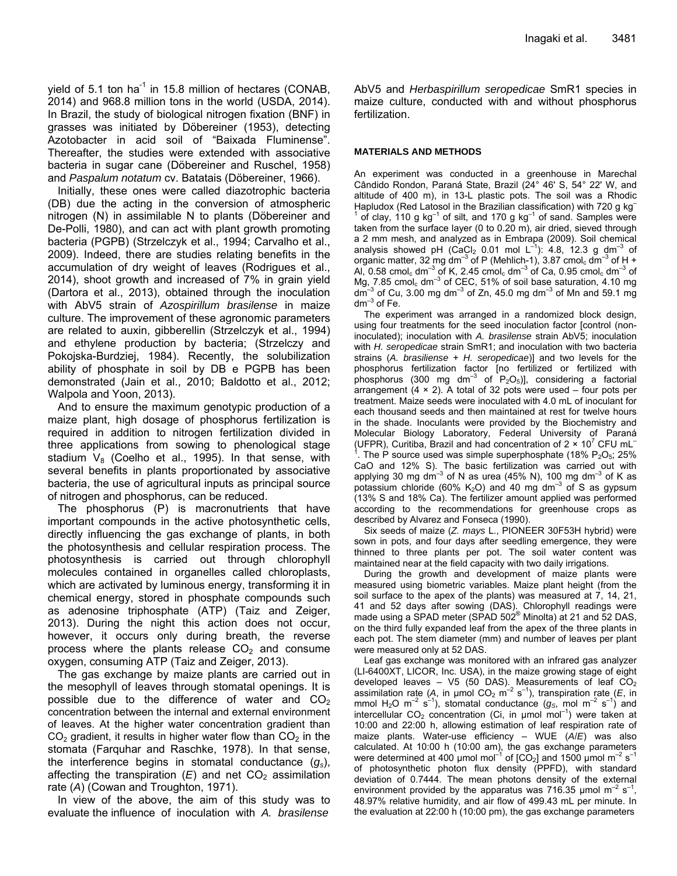yield of 5.1 ton ha<sup>-1</sup> in 15.8 million of hectares (CONAB, 2014) and 968.8 million tons in the world (USDA, 2014). In Brazil, the study of biological nitrogen fixation (BNF) in grasses was initiated by Döbereiner (1953), detecting Azotobacter in acid soil of "Baixada Fluminense". Thereafter, the studies were extended with associative bacteria in sugar cane (Döbereiner and Ruschel, 1958) and *Paspalum notatum* cv. Batatais (Döbereiner, 1966).

Initially, these ones were called diazotrophic bacteria (DB) due the acting in the conversion of atmospheric nitrogen (N) in assimilable N to plants (Döbereiner and De-Polli, 1980), and can act with plant growth promoting bacteria (PGPB) (Strzelczyk et al., 1994; Carvalho et al., 2009). Indeed, there are studies relating benefits in the accumulation of dry weight of leaves (Rodrigues et al., 2014), shoot growth and increased of 7% in grain yield (Dartora et al., 2013), obtained through the inoculation with AbV5 strain of *Azospirillum brasilense* in maize culture. The improvement of these agronomic parameters are related to auxin, gibberellin (Strzelczyk et al., 1994) and ethylene production by bacteria; (Strzelczy and Pokojska-Burdziej, 1984). Recently, the solubilization ability of phosphate in soil by DB e PGPB has been demonstrated (Jain et al., 2010; Baldotto et al., 2012; Walpola and Yoon, 2013).

And to ensure the maximum genotypic production of a maize plant, high dosage of phosphorus fertilization is required in addition to nitrogen fertilization divided in three applications from sowing to phenological stage stadium  $V_8$  (Coelho et al., 1995). In that sense, with several benefits in plants proportionated by associative bacteria, the use of agricultural inputs as principal source of nitrogen and phosphorus, can be reduced.

The phosphorus (P) is macronutrients that have important compounds in the active photosynthetic cells, directly influencing the gas exchange of plants, in both the photosynthesis and cellular respiration process. The photosynthesis is carried out through chlorophyll molecules contained in organelles called chloroplasts, which are activated by luminous energy, transforming it in chemical energy, stored in phosphate compounds such as adenosine triphosphate (ATP) (Taiz and Zeiger, 2013). During the night this action does not occur, however, it occurs only during breath, the reverse process where the plants release  $CO<sub>2</sub>$  and consume oxygen, consuming ATP (Taiz and Zeiger, 2013).

The gas exchange by maize plants are carried out in the mesophyll of leaves through stomatal openings. It is possible due to the difference of water and  $CO<sub>2</sub>$ concentration between the internal and external environment of leaves. At the higher water concentration gradient than  $CO<sub>2</sub>$  gradient, it results in higher water flow than  $CO<sub>2</sub>$  in the stomata (Farquhar and Raschke, 1978). In that sense, the interference begins in stomatal conductance (*gs*), affecting the transpiration  $(E)$  and net  $CO<sub>2</sub>$  assimilation rate (*A*) (Cowan and Troughton, 1971).

In view of the above, the aim of this study was to evaluate the influence of inoculation with *A. brasilense*

AbV5 and *Herbaspirillum seropedicae* SmR1 species in maize culture, conducted with and without phosphorus fertilization.

### **MATERIALS AND METHODS**

An experiment was conducted in a greenhouse in Marechal Cândido Rondon, Paraná State, Brazil (24° 46' S, 54° 22' W, and altitude of 400 m), in 13-L plastic pots. The soil was a Rhodic Hapludox (Red Latosol in the Brazilian classification) with 720 g kg 1 of clay, 110 g  $kg^{-1}$  of silt, and 170 g  $kg^{-1}$  of sand. Samples were taken from the surface layer (0 to 0.20 m), air dried, sieved through a 2 mm mesh, and analyzed as in Embrapa (2009). Soil chemical analysis showed pH (CaCl<sub>2</sub> 0.01 mol  $L^{-1}$ ): 4.8, 12.3 g dm<sup>-3</sup> of organic matter, 32 mg dm<sup>-3</sup> of P (Mehlich-1), 3.87 cmol<sub>c</sub> dm<sup>-3</sup> of H + Al, 0.58 cmol<sub>c</sub> dm<sup>-3</sup> of K, 2.45 cmol<sub>c</sub> dm<sup>-3</sup> of Ca, 0.95 cmol<sub>c</sub> dm<sup>-3</sup> of Mg, 7.85 cmol<sub>c</sub> dm<sup>-3</sup> of CEC, 51% of soil base saturation, 4.10 mg  $\text{dm}^{-3}$  of Cu, 3.00 mg dm<sup>-3</sup> of Zn, 45.0 mg dm<sup>-3</sup> of Mn and 59.1 mg  $dm^{-3}$  of Fe.

The experiment was arranged in a randomized block design, using four treatments for the seed inoculation factor [control (noninoculated); inoculation with *A. brasilense* strain AbV5; inoculation with *H. seropedicae* strain SmR1; and inoculation with two bacteria strains (*A. brasiliense* + *H. seropedicae*)] and two levels for the phosphorus fertilization factor [no fertilized or fertilized with phosphorus (300 mg dm<sup>-3</sup> of P<sub>2</sub>O<sub>5</sub>)], considering a factorial arrangement  $(4 \times 2)$ . A total of 32 pots were used – four pots per treatment. Maize seeds were inoculated with 4.0 mL of inoculant for each thousand seeds and then maintained at rest for twelve hours in the shade. Inoculants were provided by the Biochemistry and Molecular Biology Laboratory, Federal University of Paraná (UFPR), Curitiba, Brazil and had concentration of  $2 \times 10^7$  CFU mL<sup>-1</sup> The P source used was simple superphosphate (18%  $P_2O_5$ ; 25% CaO and 12% S). The basic fertilization was carried out with applying 30 mg dm<sup>-3</sup> of N as urea (45% N), 100 mg dm<sup>-3</sup> of K as potassium chloride (60% K<sub>2</sub>O) and 40 mg dm<sup>-3</sup> of S as gypsum (13% S and 18% Ca). The fertilizer amount applied was performed according to the recommendations for greenhouse crops as described by Alvarez and Fonseca (1990).

Six seeds of maize (*Z. mays* L., PIONEER 30F53H hybrid) were sown in pots, and four days after seedling emergence, they were thinned to three plants per pot. The soil water content was maintained near at the field capacity with two daily irrigations.

During the growth and development of maize plants were measured using biometric variables. Maize plant height (from the soil surface to the apex of the plants) was measured at 7, 14, 21, 41 and 52 days after sowing (DAS). Chlorophyll readings were made using a SPAD meter (SPAD 502<sup>®</sup> Minolta) at 21 and 52 DAS, on the third fully expanded leaf from the apex of the three plants in each pot. The stem diameter (mm) and number of leaves per plant were measured only at 52 DAS.

Leaf gas exchange was monitored with an infrared gas analyzer (LI-6400XT, LICOR, Inc. USA), in the maize growing stage of eight developed leaves  $-$  V5 (50 DAS). Measurements of leaf  $CO<sub>2</sub>$ assimilation rate (A, in umol CO<sub>2</sub> m<sup>-2</sup> s<sup>-1</sup>), transpiration rate (*E*, in mmol H<sub>2</sub>O m<sup>-2</sup> s<sup>-1</sup>), stomatal conductance ( $g_S$ , mol m<sup>-2</sup> s<sup>-1</sup>) and intercellular  $CO<sub>2</sub>$  concentration (Ci, in  $\mu$ mol mol<sup>-1</sup>) were taken at 10:00 and 22:00 h, allowing estimation of leaf respiration rate of maize plants. Water-use efficiency – WUE (*A*/*E*) was also calculated. At 10:00 h (10:00 am), the gas exchange parameters were determined at 400 µmol mol<sup>-1</sup> of  $[CO<sub>2</sub>]$  and 1500 µmol m<sup>-2</sup> s<sup>-1</sup> of photosynthetic photon flux density (PPFD), with standard deviation of 0.7444. The mean photons density of the external environment provided by the apparatus was 716.35 µmol  $m^{-2}$  s<sup>-1</sup>, 48.97% relative humidity, and air flow of 499.43 mL per minute. In the evaluation at 22:00 h (10:00 pm), the gas exchange parameters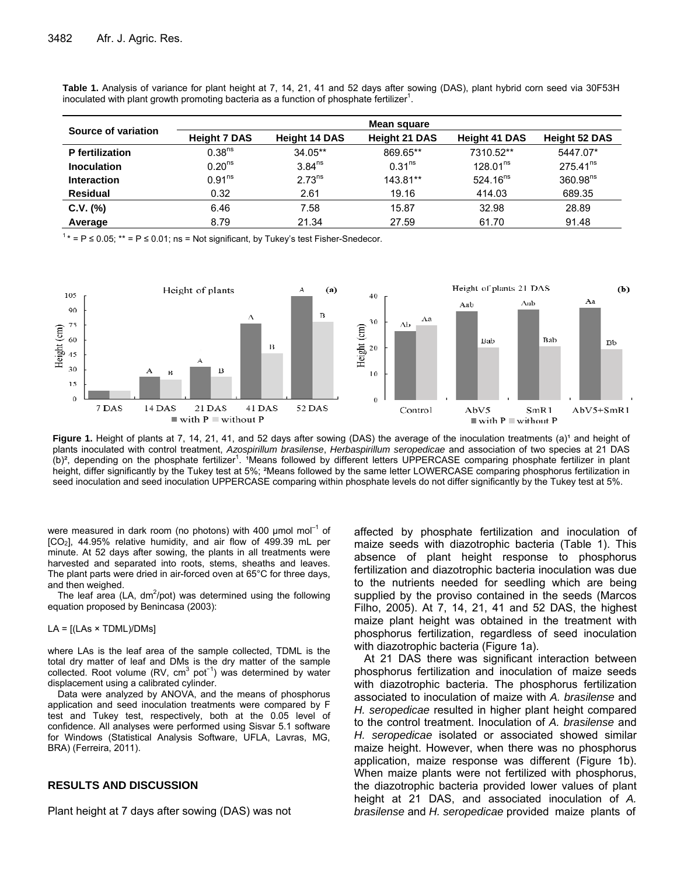| Source of variation    | Mean square         |                      |                      |                      |                      |  |  |
|------------------------|---------------------|----------------------|----------------------|----------------------|----------------------|--|--|
|                        | <b>Height 7 DAS</b> | <b>Height 14 DAS</b> | <b>Height 21 DAS</b> | <b>Height 41 DAS</b> | <b>Height 52 DAS</b> |  |  |
| <b>P</b> fertilization | 0.38 <sup>ns</sup>  | $34.05**$            | 869.65**             | 7310.52**            | 5447.07*             |  |  |
| <b>Inoculation</b>     | 0.20 <sup>ns</sup>  | $3.84^{ns}$          | 0.31 <sup>ns</sup>   | 128.01 <sup>ns</sup> | $275.41^{ns}$        |  |  |
| <b>Interaction</b>     | 0.91 <sup>ns</sup>  | 2.73 <sup>ns</sup>   | 143.81**             | $524.16^{ns}$        | 360.98 <sup>ns</sup> |  |  |
| <b>Residual</b>        | 0.32                | 2.61                 | 19.16                | 414.03               | 689.35               |  |  |
| $C.V.$ (%)             | 6.46                | 7.58                 | 15.87                | 32.98                | 28.89                |  |  |
| Average                | 8.79                | 21.34                | 27.59                | 61.70                | 91.48                |  |  |

**Table 1.** Analysis of variance for plant height at 7, 14, 21, 41 and 52 days after sowing (DAS), plant hybrid corn seed via 30F53H inoculated with plant growth promoting bacteria as a function of phosphate fertilizer $1$ .

 $1* = P \le 0.05$ ;  $** = P \le 0.01$ ; ns = Not significant, by Tukey's test Fisher-Snedecor.



Figure 1. Height of plants at 7, 14, 21, 41, and 52 days after sowing (DAS) the average of the inoculation treatments (a)<sup>1</sup> and height of plants inoculated with control treatment, *Azospirillum brasilense*, *Herbaspirillum seropedicae* and association of two species at 21 DAS (b)<sup>2</sup>, depending on the phosphate fertilizer<sup>1</sup>. <sup>1</sup>Means followed by different letters UPPERCASE comparing phosphate fertilizer in plant height, differ significantly by the Tukey test at 5%; <sup>2</sup>Means followed by the same letter LOWERCASE comparing phosphorus fertilization in seed inoculation and seed inoculation UPPERCASE comparing within phosphate levels do not differ significantly by the Tukey test at 5%.

were measured in dark room (no photons) with 400  $\mu$ mol mol<sup>-1</sup> of [CO2], 44.95% relative humidity, and air flow of 499.39 mL per minute. At 52 days after sowing, the plants in all treatments were harvested and separated into roots, stems, sheaths and leaves. The plant parts were dried in air-forced oven at 65°C for three days, and then weighed.

The leaf area (LA,  $dm^2$ /pot) was determined using the following equation proposed by Benincasa (2003):

#### $LA = [(LAS \times TDML)/DMs]$

where LAs is the leaf area of the sample collected, TDML is the total dry matter of leaf and DMs is the dry matter of the sample collected. Root volume (RV, cm<sup>3</sup> pot<sup>-1</sup>) was determined by water displacement using a calibrated cylinder.

Data were analyzed by ANOVA, and the means of phosphorus application and seed inoculation treatments were compared by F test and Tukey test, respectively, both at the 0.05 level of confidence. All analyses were performed using Sisvar 5.1 software for Windows (Statistical Analysis Software, UFLA, Lavras, MG, BRA) (Ferreira, 2011).

#### **RESULTS AND DISCUSSION**

Plant height at 7 days after sowing (DAS) was not

affected by phosphate fertilization and inoculation of maize seeds with diazotrophic bacteria (Table 1). This absence of plant height response to phosphorus fertilization and diazotrophic bacteria inoculation was due to the nutrients needed for seedling which are being supplied by the proviso contained in the seeds (Marcos Filho, 2005). At 7, 14, 21, 41 and 52 DAS, the highest maize plant height was obtained in the treatment with phosphorus fertilization, regardless of seed inoculation with diazotrophic bacteria (Figure 1a).

At 21 DAS there was significant interaction between phosphorus fertilization and inoculation of maize seeds with diazotrophic bacteria. The phosphorus fertilization associated to inoculation of maize with *A. brasilense* and *H. seropedicae* resulted in higher plant height compared to the control treatment. Inoculation of *A. brasilense* and *H. seropedicae* isolated or associated showed similar maize height. However, when there was no phosphorus application, maize response was different (Figure 1b). When maize plants were not fertilized with phosphorus, the diazotrophic bacteria provided lower values of plant height at 21 DAS, and associated inoculation of *A. brasilense* and *H. seropedicae* provided maize plants of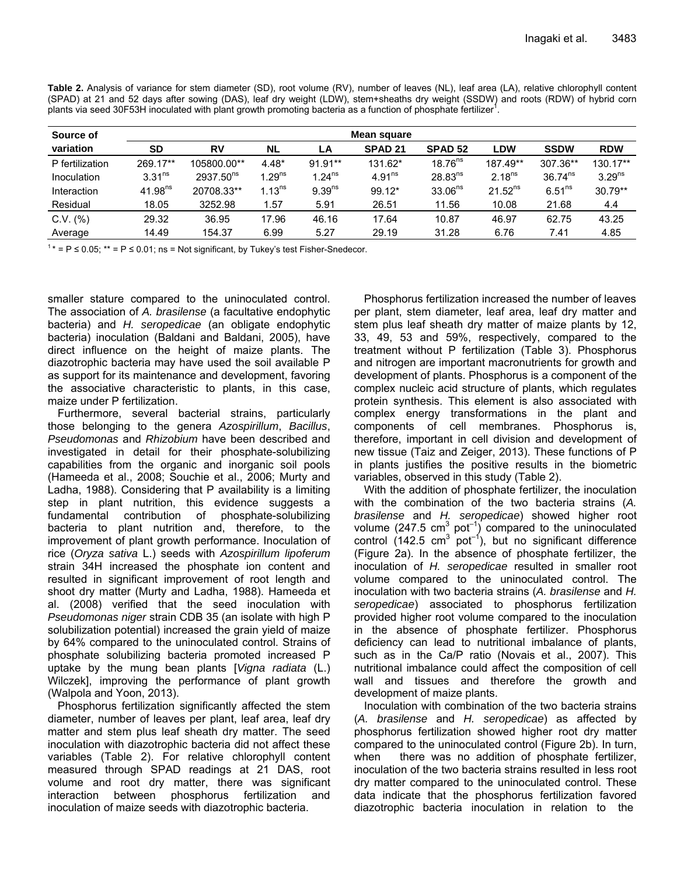| Table 2. Analysis of variance for stem diameter (SD), root volume (RV), number of leaves (NL), leaf area (LA), relative chlorophyll content |
|---------------------------------------------------------------------------------------------------------------------------------------------|
| (SPAD) at 21 and 52 days after sowing (DAS), leaf dry weight (LDW), stem+sheaths dry weight (SSDW) and roots (RDW) of hybrid corn           |
| plants via seed 30F53H inoculated with plant growth promoting bacteria as a function of phosphate fertilizer <sup>1</sup> .                 |

| Source of       | Mean square         |                |             |                      |                    |                     |                    |                    |                    |
|-----------------|---------------------|----------------|-------------|----------------------|--------------------|---------------------|--------------------|--------------------|--------------------|
| variation       | SD                  | <b>RV</b>      | <b>NL</b>   | LA                   | SPAD <sub>21</sub> | <b>SPAD 52</b>      | <b>LDW</b>         | <b>SSDW</b>        | <b>RDW</b>         |
| P fertilization | 269.17**            | 105800.00**    | $4.48*$     | 91.91**              | 131.62*            | $18.76^{ns}$        | 187.49**           | 307.36**           | 130.17**           |
| Inoculation     | 3.31 <sup>ns</sup>  | $2937.50^{ns}$ | $1.29^{ns}$ | $1.24$ <sup>ns</sup> | 4.91 <sup>ns</sup> | $28.83^{ns}$        | 2.18 <sup>ns</sup> | $36.74^{ns}$       | 3.29 <sup>ns</sup> |
| Interaction     | 41.98 <sup>ns</sup> | 20708.33**     | $1.13^{ns}$ | 9.39 <sup>ns</sup>   | $99.12*$           | 33.06 <sup>ns</sup> | $21.52^{ns}$       | 6.51 <sup>ns</sup> | $30.79**$          |
| Residual        | 18.05               | 3252.98        | 1.57        | 5.91                 | 26.51              | 11.56               | 10.08              | 21.68              | 4.4                |
| C.V. (%)        | 29.32               | 36.95          | 17.96       | 46.16                | 17.64              | 10.87               | 46.97              | 62.75              | 43.25              |
| Average         | 14.49               | 154.37         | 6.99        | 5.27                 | 29.19              | 31.28               | 6.76               | 7.41               | 4.85               |

 $1*$  = P  $\leq$  0.05;  $**$  = P  $\leq$  0.01; ns = Not significant, by Tukey's test Fisher-Snedecor.

smaller stature compared to the uninoculated control. The association of *A. brasilense* (a facultative endophytic bacteria) and *H. seropedicae* (an obligate endophytic bacteria) inoculation (Baldani and Baldani, 2005), have direct influence on the height of maize plants. The diazotrophic bacteria may have used the soil available P as support for its maintenance and development, favoring the associative characteristic to plants, in this case, maize under P fertilization.

Furthermore, several bacterial strains, particularly those belonging to the genera *Azospirillum*, *Bacillus*, *Pseudomonas* and *Rhizobium* have been described and investigated in detail for their phosphate-solubilizing capabilities from the organic and inorganic soil pools (Hameeda et al., 2008; Souchie et al., 2006; Murty and Ladha, 1988). Considering that P availability is a limiting step in plant nutrition, this evidence suggests a fundamental contribution of phosphate-solubilizing bacteria to plant nutrition and, therefore, to the improvement of plant growth performance. Inoculation of rice (*Oryza sativa* L.) seeds with *Azospirillum lipoferum*  strain 34H increased the phosphate ion content and resulted in significant improvement of root length and shoot dry matter (Murty and Ladha, 1988). Hameeda et al. (2008) verified that the seed inoculation with *Pseudomonas niger* strain CDB 35 (an isolate with high P solubilization potential) increased the grain yield of maize by 64% compared to the uninoculated control. Strains of phosphate solubilizing bacteria promoted increased P uptake by the mung bean plants [*Vigna radiata* (L.) Wilczek], improving the performance of plant growth (Walpola and Yoon, 2013).

Phosphorus fertilization significantly affected the stem diameter, number of leaves per plant, leaf area, leaf dry matter and stem plus leaf sheath dry matter. The seed inoculation with diazotrophic bacteria did not affect these variables (Table 2). For relative chlorophyll content measured through SPAD readings at 21 DAS, root volume and root dry matter, there was significant interaction between phosphorus fertilization and inoculation of maize seeds with diazotrophic bacteria.

Phosphorus fertilization increased the number of leaves per plant, stem diameter, leaf area, leaf dry matter and stem plus leaf sheath dry matter of maize plants by 12, 33, 49, 53 and 59%, respectively, compared to the treatment without P fertilization (Table 3). Phosphorus and nitrogen are important macronutrients for growth and development of plants. Phosphorus is a component of the complex nucleic acid structure of plants, which regulates protein synthesis. This element is also associated with complex energy transformations in the plant and components of cell membranes. Phosphorus is, therefore, important in cell division and development of new tissue (Taiz and Zeiger, 2013). These functions of P in plants justifies the positive results in the biometric variables, observed in this study (Table 2).

With the addition of phosphate fertilizer, the inoculation with the combination of the two bacteria strains (*A. brasilense* and *H. seropedicae*) showed higher root volume (247.5 cm<sup>3</sup> pot<sup>-1</sup>) compared to the uninoculated control  $(142.5 \text{ cm}^3 \text{ pot}^{-1})$ , but no significant difference (Figure 2a). In the absence of phosphate fertilizer, the inoculation of *H. seropedicae* resulted in smaller root volume compared to the uninoculated control. The inoculation with two bacteria strains (*A. brasilense* and *H. seropedicae*) associated to phosphorus fertilization provided higher root volume compared to the inoculation in the absence of phosphate fertilizer. Phosphorus deficiency can lead to nutritional imbalance of plants, such as in the Ca/P ratio (Novais et al., 2007). This nutritional imbalance could affect the composition of cell wall and tissues and therefore the growth and development of maize plants.

Inoculation with combination of the two bacteria strains (*A. brasilense* and *H. seropedicae*) as affected by phosphorus fertilization showed higher root dry matter compared to the uninoculated control (Figure 2b). In turn, when there was no addition of phosphate fertilizer, inoculation of the two bacteria strains resulted in less root dry matter compared to the uninoculated control. These data indicate that the phosphorus fertilization favored diazotrophic bacteria inoculation in relation to the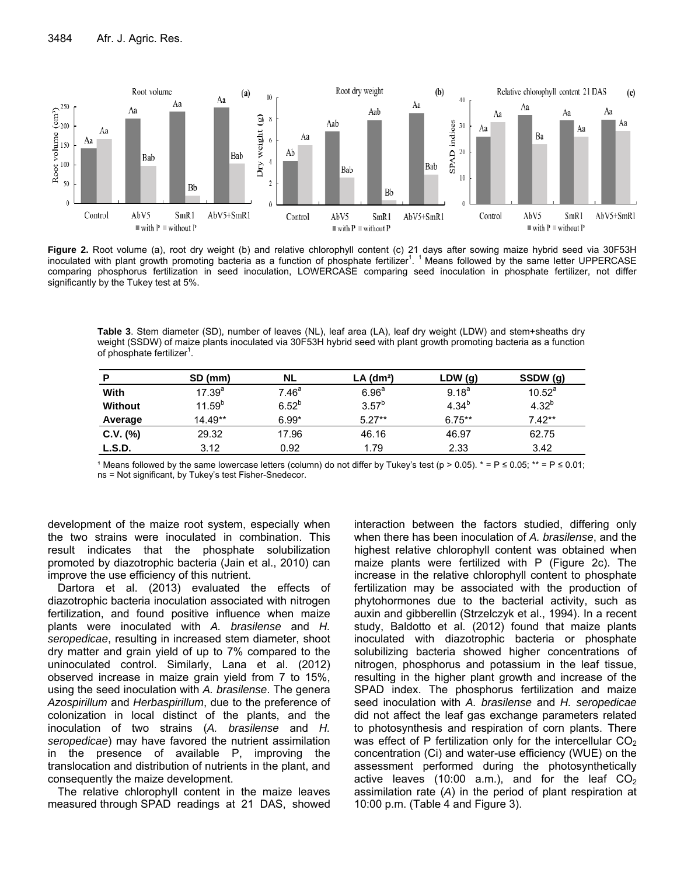

**Figure 2.** Root volume (a), root dry weight (b) and relative chlorophyll content (c) 21 days after sowing maize hybrid seed via 30F53H inoculated with plant growth promoting bacteria as a function of phosphate fertilizer<sup>1</sup>. <sup>1</sup> Means followed by the same letter UPPERCASE comparing phosphorus fertilization in seed inoculation, LOWERCASE comparing seed inoculation in phosphate fertilizer, not differ significantly by the Tukey test at 5%.

**Table 3**. Stem diameter (SD), number of leaves (NL), leaf area (LA), leaf dry weight (LDW) and stem+sheaths dry weight (SSDW) of maize plants inoculated via 30F53H hybrid seed with plant growth promoting bacteria as a function of phosphate fertilizer<sup>1</sup>.

| P              | SD (mm)     | NL.               | $LA$ (dm <sup>2</sup> ) | LDW(g)     | SSDW (g)   |
|----------------|-------------|-------------------|-------------------------|------------|------------|
| With           | $17.39^{a}$ | 7.46 <sup>a</sup> | 6.96 <sup>a</sup>       | $9.18^{a}$ | $10.52^a$  |
| <b>Without</b> | $11.59^{b}$ | $6.52^{b}$        | $3.57^{b}$              | $4.34^{b}$ | $4.32^{b}$ |
| Average        | $14.49**$   | $6.99*$           | $5.27**$                | $6.75***$  | $7.42**$   |
| $C.V.$ (%)     | 29.32       | 17.96             | 46.16                   | 46.97      | 62.75      |
| L.S.D.         | 3.12        | 0.92              | 1.79                    | 2.33       | 3.42       |
|                |             |                   |                         |            |            |

1 Means followed by the same lowercase letters (column) do not differ by Tukey's test (p > 0.05).  $* = P \le 0.05$ ;  $** = P \le 0.01$ ; ns = Not significant, by Tukey's test Fisher-Snedecor.

development of the maize root system, especially when the two strains were inoculated in combination. This result indicates that the phosphate solubilization promoted by diazotrophic bacteria (Jain et al., 2010) can improve the use efficiency of this nutrient.

Dartora et al. (2013) evaluated the effects of diazotrophic bacteria inoculation associated with nitrogen fertilization, and found positive influence when maize plants were inoculated with *A. brasilense* and *H. seropedicae*, resulting in increased stem diameter, shoot dry matter and grain yield of up to 7% compared to the uninoculated control. Similarly, Lana et al. (2012) observed increase in maize grain yield from 7 to 15%, using the seed inoculation with *A. brasilense*. The genera *Azospirillum* and *Herbaspirillum*, due to the preference of colonization in local distinct of the plants, and the inoculation of two strains (*A. brasilense* and *H. seropedicae*) may have favored the nutrient assimilation in the presence of available P, improving the translocation and distribution of nutrients in the plant, and consequently the maize development.

The relative chlorophyll content in the maize leaves measured through SPAD readings at 21 DAS, showed

interaction between the factors studied, differing only when there has been inoculation of *A. brasilense*, and the highest relative chlorophyll content was obtained when maize plants were fertilized with P (Figure 2c). The increase in the relative chlorophyll content to phosphate fertilization may be associated with the production of phytohormones due to the bacterial activity, such as auxin and gibberellin (Strzelczyk et al., 1994). In a recent study, Baldotto et al. (2012) found that maize plants inoculated with diazotrophic bacteria or phosphate solubilizing bacteria showed higher concentrations of nitrogen, phosphorus and potassium in the leaf tissue, resulting in the higher plant growth and increase of the SPAD index. The phosphorus fertilization and maize seed inoculation with *A. brasilense* and *H. seropedicae* did not affect the leaf gas exchange parameters related to photosynthesis and respiration of corn plants. There was effect of P fertilization only for the intercellular  $CO<sub>2</sub>$ concentration (Ci) and water-use efficiency (WUE) on the assessment performed during the photosynthetically active leaves (10:00 a.m.), and for the leaf  $CO<sub>2</sub>$ assimilation rate (*A*) in the period of plant respiration at 10:00 p.m. (Table 4 and Figure 3).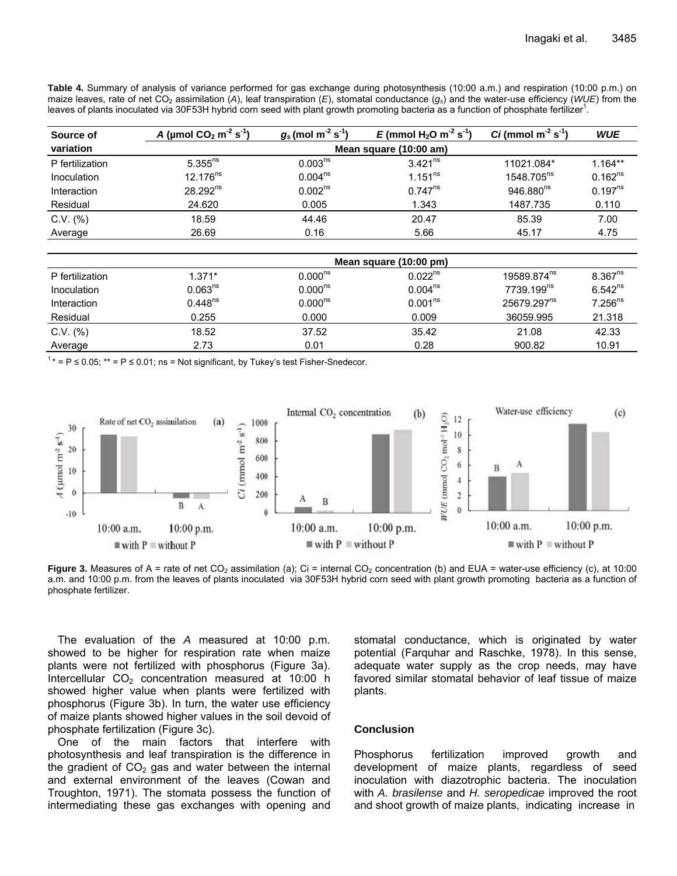**Table 4.** Summary of analysis of variance performed for gas exchange during photosynthesis (10:00 a.m.) and respiration (10:00 p.m.) on maize leaves, rate of net CO<sub>2</sub> assimilation (A), leaf transpiration (E), stomatal conductance ( $q_s$ ) and the water-use efficiency (*WUE*) from the leaves of plants inoculated via 30F53H hybrid corn seed with plant growth promoting bacteria as a function of phosphate fertilizer<sup>1</sup>.

| Source of       | A (µmol $CO_2$ m <sup>-2</sup> s <sup>-1</sup> ) | $g_s$ (mol m <sup>-2</sup> s <sup>-1</sup> ) | E (mmol $H_2O$ m <sup>-2</sup> s <sup>-1</sup> ) | $Ci$ (mmol m <sup>-2</sup> s <sup>-1</sup> ) | <b>WUE</b>   |  |  |
|-----------------|--------------------------------------------------|----------------------------------------------|--------------------------------------------------|----------------------------------------------|--------------|--|--|
| variation       | Mean square (10:00 am)                           |                                              |                                                  |                                              |              |  |  |
| P fertilization | $5.355^{ns}$                                     | 0.003 <sup>ns</sup>                          | $3.421^{ns}$                                     | 11021.084*                                   | $1.164**$    |  |  |
| Inoculation     | $12.176^{ns}$                                    | $0.004^{ns}$                                 | $1.151^{ns}$                                     | 1548.705 <sup>ns</sup>                       | $0.162^{ns}$ |  |  |
| Interaction     | $28.292^{ns}$                                    | 0.002 <sup>ns</sup>                          | $0.747^{ns}$                                     | 946.880 <sup>ns</sup>                        | $0.197^{ns}$ |  |  |
| Residual        | 24.620                                           | 0.005                                        | 1.343                                            | 1487.735                                     | 0.110        |  |  |
| $C.V.$ $(\%)$   | 18.59                                            | 44.46                                        | 20.47                                            | 85.39                                        | 7.00         |  |  |
| Average         | 26.69                                            | 0.16                                         | 5.66                                             | 45.17                                        | 4.75         |  |  |

|                 | Mean square (10:00 pm) |              |                     |                         |              |
|-----------------|------------------------|--------------|---------------------|-------------------------|--------------|
| P fertilization | $1.371*$               | $0.000^{ns}$ | $0.022^{ns}$        | 19589.874 <sup>ns</sup> | $8.367^{ns}$ |
| Inoculation     | 0.063 <sup>ns</sup>    | $0.000^{ns}$ | $0.004^{ns}$        | 7739.199 <sup>ns</sup>  | $6.542^{ns}$ |
| Interaction     | $0.448^{ns}$           | $0.000^{ns}$ | 0.001 <sup>ns</sup> | 25679.297 <sup>ns</sup> | $7.256^{ns}$ |
| Residual        | 0.255                  | 0.000        | 0.009               | 36059.995               | 21.318       |
| $C.V.$ $%$      | 18.52                  | 37.52        | 35.42               | 21.08                   | 42.33        |
| Average         | 2.73                   | 0.01         | 0.28                | 900.82                  | 10.91        |

 $1* = P \le 0.05$ ;  $** = P \le 0.01$ ; ns = Not significant, by Tukey's test Fisher-Snedecor.



**Figure 3.** Measures of A = rate of net  $CO_2$  assimilation (a); Ci = internal  $CO_2$  concentration (b) and EUA = water-use efficiency (c), at 10:00 a.m. and 10:00 p.m. from the leaves of plants inoculated via 30F53H hybrid corn seed with plant growth promoting bacteria as a function of phosphate fertilizer.

The evaluation of the *A* measured at 10:00 p.m. showed to be higher for respiration rate when maize plants were not fertilized with phosphorus (Figure 3a). Intercellular  $CO<sub>2</sub>$  concentration measured at 10:00 h showed higher value when plants were fertilized with phosphorus (Figure 3b). In turn, the water use efficiency of maize plants showed higher values in the soil devoid of phosphate fertilization (Figure 3c).

One of the main factors that interfere with photosynthesis and leaf transpiration is the difference in the gradient of  $CO<sub>2</sub>$  gas and water between the internal and external environment of the leaves (Cowan and Troughton, 1971). The stomata possess the function of intermediating these gas exchanges with opening and stomatal conductance, which is originated by water potential (Farquhar and Raschke, 1978). In this sense, adequate water supply as the crop needs, may have favored similar stomatal behavior of leaf tissue of maize plants.

#### **Conclusion**

Phosphorus fertilization improved growth and development of maize plants, regardless of seed inoculation with diazotrophic bacteria. The inoculation with *A. brasilense* and *H. seropedicae* improved the root and shoot growth of maize plants, indicating increase in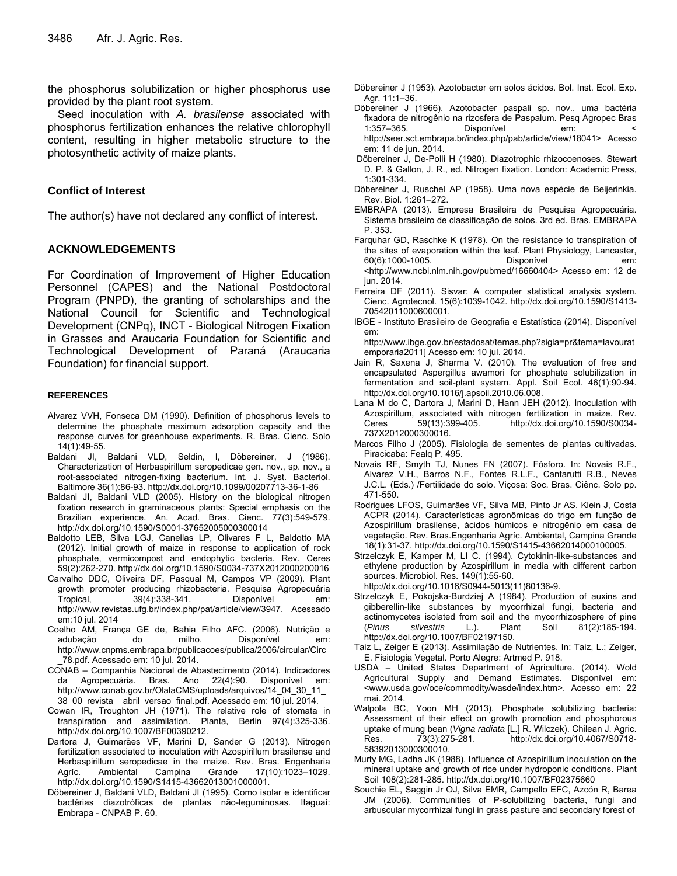the phosphorus solubilization or higher phosphorus use provided by the plant root system.

Seed inoculation with *A. brasilense* associated with phosphorus fertilization enhances the relative chlorophyll content, resulting in higher metabolic structure to the photosynthetic activity of maize plants.

# **Conflict of Interest**

The author(s) have not declared any conflict of interest.

# **ACKNOWLEDGEMENTS**

For Coordination of Improvement of Higher Education Personnel (CAPES) and the National Postdoctoral Program (PNPD), the granting of scholarships and the National Council for Scientific and Technological Development (CNPq), INCT - Biological Nitrogen Fixation in Grasses and Araucaria Foundation for Scientific and Technological Development of Paraná (Araucaria Foundation) for financial support.

#### **REFERENCES**

- Alvarez VVH, Fonseca DM (1990). Definition of phosphorus levels to determine the phosphate maximum adsorption capacity and the response curves for greenhouse experiments. R. Bras. Cienc. Solo 14(1):49-55.
- Baldani JI, Baldani VLD, Seldin, l, Döbereiner, J (1986). Characterization of Herbaspirillum seropedicae gen. nov., sp. nov., a root-associated nitrogen-fixing bacterium. Int. J. Syst. Bacteriol. Baltimore 36(1):86-93. http://dx.doi.org/10.1099/00207713-36-1-86
- Baldani JI, Baldani VLD (2005). History on the biological nitrogen fixation research in graminaceous plants: Special emphasis on the Brazilian experience. An. Acad. Bras. Cienc. 77(3):549-579. http://dx.doi.org/10.1590/S0001-37652005000300014
- Baldotto LEB, Silva LGJ, Canellas LP, Olivares F L, Baldotto MA (2012). Initial growth of maize in response to application of rock phosphate, vermicompost and endophytic bacteria. Rev. Ceres 59(2):262-270. http://dx.doi.org/10.1590/S0034-737X2012000200016
- Carvalho DDC, Oliveira DF, Pasqual M, Campos VP (2009). Plant growth promoter producing rhizobacteria. Pesquisa Agropecuária Tropical, 39(4):338-341. Disponível em: http://www.revistas.ufg.br/index.php/pat/article/view/3947. Acessado em:10 jul. 2014
- Coelho AM, França GE de, Bahia Filho AFC. (2006). Nutrição e adubação do milho. Disponível em: http://www.cnpms.embrapa.br/publicacoes/publica/2006/circular/Circ \_78.pdf. Acessado em: 10 jul. 2014.
- CONAB Companhia Nacional de Abastecimento (2014). Indicadores da Agropecuária. Bras. Ano 22(4):90. Disponível em: http://www.conab.gov.br/OlalaCMS/uploads/arquivos/14\_04\_30\_11\_ 38\_00\_revista\_\_abril\_versao\_final.pdf. Acessado em: 10 jul. 2014.
- Cowan IR, Troughton JH (1971). The relative role of stomata in transpiration and assimilation. Planta, Berlin 97(4):325-336. http://dx.doi.org/10.1007/BF00390212.
- Dartora J, Guimarães VF, Marini D, Sander G (2013). Nitrogen fertilization associated to inoculation with Azospirillum brasilense and Herbaspirillum seropedicae in the maize. Rev. Bras. Engenharia Agríc. Ambiental Campina Grande 17(10):1023–1029. http://dx.doi.org/10.1590/S1415-43662013001000001.
- Döbereiner J, Baldani VLD, Baldani JI (1995). Como isolar e identificar bactérias diazotróficas de plantas não-leguminosas. Itaguaí: Embrapa - CNPAB P. 60.
- Döbereiner J (1953). Azotobacter em solos ácidos. Bol. Inst. Ecol. Exp. Agr. 11:1–36.
- Döbereiner J (1966). Azotobacter paspali sp. nov., uma bactéria fixadora de nitrogênio na rizosfera de Paspalum. Pesq Agropec Bras 1:357–365. Disponível em: < http://seer.sct.embrapa.br/index.php/pab/article/view/18041> Acesso
- em: 11 de jun. 2014. Döbereiner J, De-Polli H (1980). Diazotrophic rhizocoenoses. Stewart
- D. P. & Gallon, J. R., ed. Nitrogen fixation. London: Academic Press, 1:301-334.
- Döbereiner J, Ruschel AP (1958). Uma nova espécie de Beijerinkia. Rev. Biol. 1:261–272.
- EMBRAPA (2013). Empresa Brasileira de Pesquisa Agropecuária. Sistema brasileiro de classificação de solos. 3rd ed. Bras. EMBRAPA P. 353.
- Farquhar GD, Raschke K (1978). On the resistance to transpiration of the sites of evaporation within the leaf. Plant Physiology, Lancaster, 60(6):1000-1005. Disponível em: <http://www.ncbi.nlm.nih.gov/pubmed/16660404> Acesso em: 12 de jun. 2014.
- Ferreira DF (2011). Sisvar: A computer statistical analysis system. Cienc. Agrotecnol. 15(6):1039-1042. http://dx.doi.org/10.1590/S1413- 70542011000600001.
- IBGE Instituto Brasileiro de Geografia e Estatística (2014). Disponível em:

http://www.ibge.gov.br/estadosat/temas.php?sigla=pr&tema=lavourat emporaria2011] Acesso em: 10 jul. 2014.

- Jain R, Saxena J, Sharma V. (2010). The evaluation of free and encapsulated Aspergillus awamori for phosphate solubilization in fermentation and soil-plant system. Appl. Soil Ecol. 46(1):90-94. http://dx.doi.org/10.1016/j.apsoil.2010.06.008.
- Lana M do C, Dartora J, Marini D, Hann JEH (2012). Inoculation with Azospirillum, associated with nitrogen fertilization in maize. Rev. Ceres 59(13):399-405. http://dx.doi.org/10.1590/S0034- 737X2012000300016.
- Marcos Filho J (2005). Fisiologia de sementes de plantas cultivadas. Piracicaba: Fealq P. 495.
- Novais RF, Smyth TJ, Nunes FN (2007). Fósforo. In: Novais R.F., Alvarez V.H., Barros N.F., Fontes R.L.F., Cantarutti R.B., Neves J.C.L. (Eds.) /Fertilidade do solo. Viçosa: Soc. Bras. Ciênc. Solo pp. 471-550.
- Rodrigues LFOS, Guimarães VF, Silva MB, Pinto Jr AS, Klein J, Costa ACPR (2014). Características agronômicas do trigo em função de Azospirillum brasilense, ácidos húmicos e nitrogênio em casa de vegetação. Rev. Bras.Engenharia Agríc. Ambiental, Campina Grande 18(1):31-37. http://dx.doi.org/10.1590/S1415-43662014000100005.
- Strzelczyk E, Kamper M, LI C. (1994). Cytokinin-like-substances and ethylene production by Azospirillum in media with different carbon sources. Microbiol. Res. 149(1):55-60.

http://dx.doi.org/10.1016/S0944-5013(11)80136-9.

- Strzelczyk E, Pokojska-Burdziej A (1984). Production of auxins and gibberellin-like substances by mycorrhizal fungi, bacteria and actinomycetes isolated from soil and the mycorrhizosphere of pine (*Pinus silvestris* L.). Plant Soil 81(2):185-194. http://dx.doi.org/10.1007/BF02197150.
- Taiz L, Zeiger E (2013). Assimilação de Nutrientes. In: Taiz, L.; Zeiger, E. Fisiologia Vegetal. Porto Alegre: Artmed P. 918.
- USDA United States Department of Agriculture. (2014). Wold Agricultural Supply and Demand Estimates. Disponível em: <www.usda.gov/oce/commodity/wasde/index.htm>. Acesso em: 22 mai. 2014.
- Walpola BC, Yoon MH (2013). Phosphate solubilizing bacteria: Assessment of their effect on growth promotion and phosphorous uptake of mung bean (*Vigna radiata* [L.] R. Wilczek). Chilean J. Agric. Res. 73(3):275-281. http://dx.doi.org/10.4067/S0718- 58392013000300010.
- Murty MG, Ladha JK (1988). Influence of Azospirillum inoculation on the mineral uptake and growth of rice under hydroponic conditions. Plant Soil 108(2):281-285. http://dx.doi.org/10.1007/BF02375660
- Souchie EL, Saggin Jr OJ, Silva EMR, Campello EFC, Azcón R, Barea JM (2006). Communities of P-solubilizing bacteria, fungi and arbuscular mycorrhizal fungi in grass pasture and secondary forest of